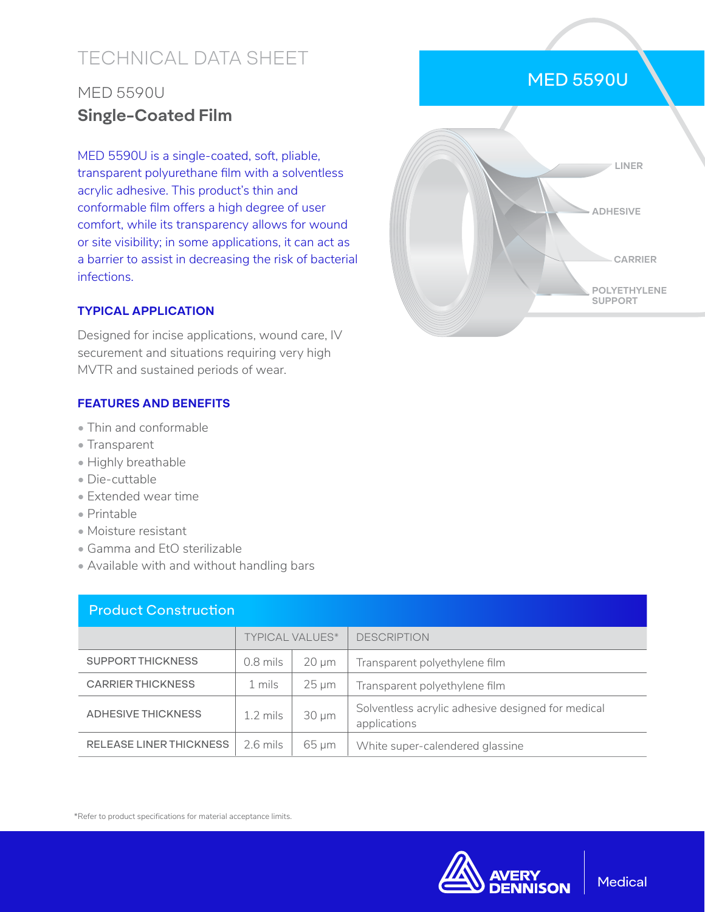# TECHNICAL DATA SHEET

## MED 5590U **Single-Coated Film**

MED 5590U is a single-coated, soft, pliable, transparent polyurethane film with a solventless acrylic adhesive. This product's thin and conformable film offers a high degree of user comfort, while its transparency allows for wound or site visibility; in some applications, it can act as a barrier to assist in decreasing the risk of bacterial infections.

### **TYPICAL APPLICATION**

Designed for incise applications, wound care, IV securement and situations requiring very high MVTR and sustained periods of wear.

#### **FEATURES AND BENEFITS**

- Thin and conformable
- Transparent
- Highly breathable
- Die-cuttable
- Extended wear time
- Printable
- Moisture resistant
- Gamma and EtO sterilizable
- Available with and without handling bars

| <b>Product Construction</b>    |                        |            |                                                                   |  |  |  |
|--------------------------------|------------------------|------------|-------------------------------------------------------------------|--|--|--|
|                                | <b>TYPICAL VALUES*</b> |            | <b>DESCRIPTION</b>                                                |  |  |  |
| <b>SUPPORT THICKNESS</b>       | $0.8$ mils             | $20 \mu m$ | Transparent polyethylene film                                     |  |  |  |
| <b>CARRIER THICKNESS</b>       | 1 mils                 | $25 \mu m$ | Transparent polyethylene film                                     |  |  |  |
| ADHESIVE THICKNESS             | $1.2 \text{ miles}$    | $30 \mu m$ | Solventless acrylic adhesive designed for medical<br>applications |  |  |  |
| <b>RELEASE LINER THICKNESS</b> | $2.6$ mils             | $65 \mu m$ | White super-calendered glassine                                   |  |  |  |

\*Refer to product specifications for material acceptance limits.